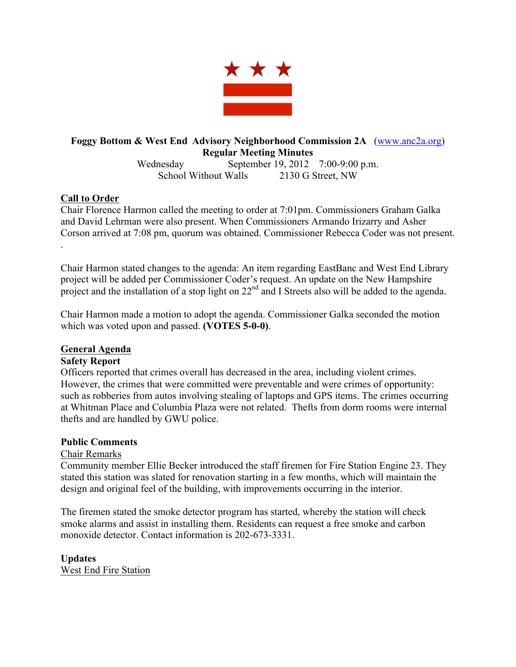

# **Foggy Bottom & West End Advisory Neighborhood Commission 2A** (www.anc2a.org) **Regular Meeting Minutes**

Wednesday September 19, 2012 7:00-9:00 p.m. School Without Walls 2130 G Street, NW

## **Call to Order**

Chair Florence Harmon called the meeting to order at 7:01pm. Commissioners Graham Galka and David Lehrman were also present. When Commissioners Armando Irizarry and Asher Corson arrived at 7:08 pm, quorum was obtained. Commissioner Rebecca Coder was not present. .

Chair Harmon stated changes to the agenda: An item regarding EastBanc and West End Library project will be added per Commissioner Coder's request. An update on the New Hampshire project and the installation of a stop light on 22<sup>nd</sup> and I Streets also will be added to the agenda.

Chair Harmon made a motion to adopt the agenda. Commissioner Galka seconded the motion which was voted upon and passed. **(VOTES 5-0-0)**.

## **General Agenda**

#### **Safety Report**

Officers reported that crimes overall has decreased in the area, including violent crimes. However, the crimes that were committed were preventable and were crimes of opportunity: such as robberies from autos involving stealing of laptops and GPS items. The crimes occurring at Whitman Place and Columbia Plaza were not related. Thefts from dorm rooms were internal thefts and are handled by GWU police.

#### **Public Comments**

## Chair Remarks

Community member Ellie Becker introduced the staff firemen for Fire Station Engine 23. They stated this station was slated for renovation starting in a few months, which will maintain the design and original feel of the building, with improvements occurring in the interior.

The firemen stated the smoke detector program has started, whereby the station will check smoke alarms and assist in installing them. Residents can request a free smoke and carbon monoxide detector. Contact information is 202-673-3331.

**Updates** West End Fire Station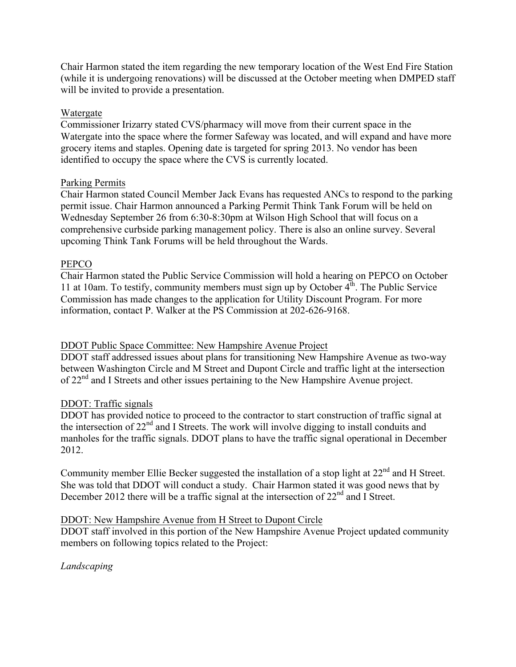Chair Harmon stated the item regarding the new temporary location of the West End Fire Station (while it is undergoing renovations) will be discussed at the October meeting when DMPED staff will be invited to provide a presentation.

### Watergate

Commissioner Irizarry stated CVS/pharmacy will move from their current space in the Watergate into the space where the former Safeway was located, and will expand and have more grocery items and staples. Opening date is targeted for spring 2013. No vendor has been identified to occupy the space where the CVS is currently located.

#### Parking Permits

Chair Harmon stated Council Member Jack Evans has requested ANCs to respond to the parking permit issue. Chair Harmon announced a Parking Permit Think Tank Forum will be held on Wednesday September 26 from 6:30-8:30pm at Wilson High School that will focus on a comprehensive curbside parking management policy. There is also an online survey. Several upcoming Think Tank Forums will be held throughout the Wards.

### PEPCO

Chair Harmon stated the Public Service Commission will hold a hearing on PEPCO on October 11 at 10am. To testify, community members must sign up by October  $4<sup>th</sup>$ . The Public Service Commission has made changes to the application for Utility Discount Program. For more information, contact P. Walker at the PS Commission at 202-626-9168.

## DDOT Public Space Committee: New Hampshire Avenue Project

DDOT staff addressed issues about plans for transitioning New Hampshire Avenue as two-way between Washington Circle and M Street and Dupont Circle and traffic light at the intersection of 22<sup>nd</sup> and I Streets and other issues pertaining to the New Hampshire Avenue project.

## DDOT: Traffic signals

DDOT has provided notice to proceed to the contractor to start construction of traffic signal at the intersection of 22<sup>nd</sup> and I Streets. The work will involve digging to install conduits and manholes for the traffic signals. DDOT plans to have the traffic signal operational in December 2012.

Community member Ellie Becker suggested the installation of a stop light at  $22<sup>nd</sup>$  and H Street. She was told that DDOT will conduct a study. Chair Harmon stated it was good news that by December 2012 there will be a traffic signal at the intersection of  $22<sup>nd</sup>$  and I Street.

#### DDOT: New Hampshire Avenue from H Street to Dupont Circle

DDOT staff involved in this portion of the New Hampshire Avenue Project updated community members on following topics related to the Project:

*Landscaping*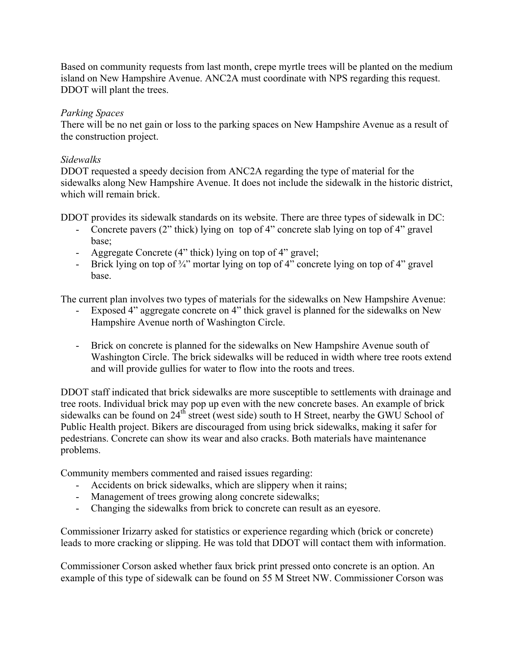Based on community requests from last month, crepe myrtle trees will be planted on the medium island on New Hampshire Avenue. ANC2A must coordinate with NPS regarding this request. DDOT will plant the trees.

### *Parking Spaces*

There will be no net gain or loss to the parking spaces on New Hampshire Avenue as a result of the construction project.

#### *Sidewalks*

DDOT requested a speedy decision from ANC2A regarding the type of material for the sidewalks along New Hampshire Avenue. It does not include the sidewalk in the historic district, which will remain brick.

DDOT provides its sidewalk standards on its website. There are three types of sidewalk in DC:

- Concrete pavers (2" thick) lying on top of 4" concrete slab lying on top of 4" gravel base;
- Aggregate Concrete (4" thick) lying on top of 4" gravel;
- Brick lying on top of  $\frac{3}{4}$ " mortar lying on top of 4" concrete lying on top of 4" gravel base.

The current plan involves two types of materials for the sidewalks on New Hampshire Avenue:

- Exposed 4" aggregate concrete on 4" thick gravel is planned for the sidewalks on New Hampshire Avenue north of Washington Circle.
- Brick on concrete is planned for the sidewalks on New Hampshire Avenue south of Washington Circle. The brick sidewalks will be reduced in width where tree roots extend and will provide gullies for water to flow into the roots and trees.

DDOT staff indicated that brick sidewalks are more susceptible to settlements with drainage and tree roots. Individual brick may pop up even with the new concrete bases. An example of brick sidewalks can be found on  $24<sup>th</sup>$  street (west side) south to H Street, nearby the GWU School of Public Health project. Bikers are discouraged from using brick sidewalks, making it safer for pedestrians. Concrete can show its wear and also cracks. Both materials have maintenance problems.

Community members commented and raised issues regarding:

- Accidents on brick sidewalks, which are slippery when it rains;
- Management of trees growing along concrete sidewalks;
- Changing the sidewalks from brick to concrete can result as an eyesore.

Commissioner Irizarry asked for statistics or experience regarding which (brick or concrete) leads to more cracking or slipping. He was told that DDOT will contact them with information.

Commissioner Corson asked whether faux brick print pressed onto concrete is an option. An example of this type of sidewalk can be found on 55 M Street NW. Commissioner Corson was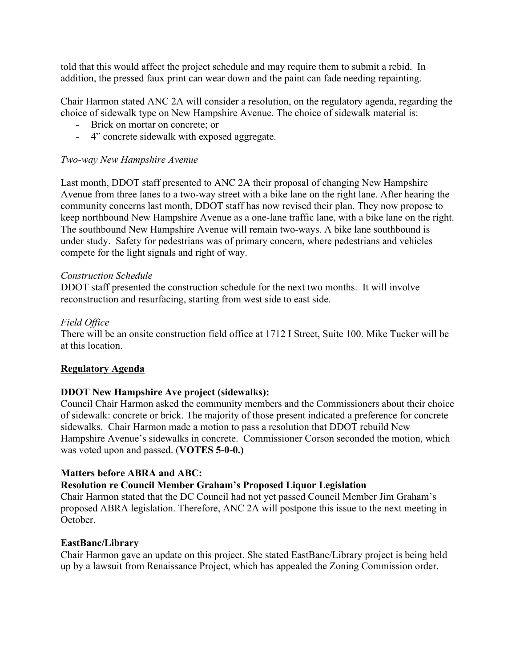told that this would affect the project schedule and may require them to submit a rebid. In addition, the pressed faux print can wear down and the paint can fade needing repainting.

Chair Harmon stated ANC 2A will consider a resolution, on the regulatory agenda, regarding the choice of sidewalk type on New Hampshire Avenue. The choice of sidewalk material is:

- Brick on mortar on concrete; or
- 4" concrete sidewalk with exposed aggregate.

### *Two-way New Hampshire Avenue*

Last month, DDOT staff presented to ANC 2A their proposal of changing New Hampshire Avenue from three lanes to a two-way street with a bike lane on the right lane. After hearing the community concerns last month, DDOT staff has now revised their plan. They now propose to keep northbound New Hampshire Avenue as a one-lane traffic lane, with a bike lane on the right. The southbound New Hampshire Avenue will remain two-ways. A bike lane southbound is under study. Safety for pedestrians was of primary concern, where pedestrians and vehicles compete for the light signals and right of way.

#### *Construction Schedule*

DDOT staff presented the construction schedule for the next two months. It will involve reconstruction and resurfacing, starting from west side to east side.

### *Field Office*

There will be an onsite construction field office at 1712 I Street, Suite 100. Mike Tucker will be at this location.

#### **Regulatory Agenda**

## **DDOT New Hampshire Ave project (sidewalks):**

Council Chair Harmon asked the community members and the Commissioners about their choice of sidewalk: concrete or brick. The majority of those present indicated a preference for concrete sidewalks. Chair Harmon made a motion to pass a resolution that DDOT rebuild New Hampshire Avenue's sidewalks in concrete. Commissioner Corson seconded the motion, which was voted upon and passed. (**VOTES 5-0-0.)** 

#### **Matters before ABRA and ABC:**

## **Resolution re Council Member Graham's Proposed Liquor Legislation**

Chair Harmon stated that the DC Council had not yet passed Council Member Jim Graham's proposed ABRA legislation. Therefore, ANC 2A will postpone this issue to the next meeting in October.

#### **EastBanc/Library**

Chair Harmon gave an update on this project. She stated EastBanc/Library project is being held up by a lawsuit from Renaissance Project, which has appealed the Zoning Commission order.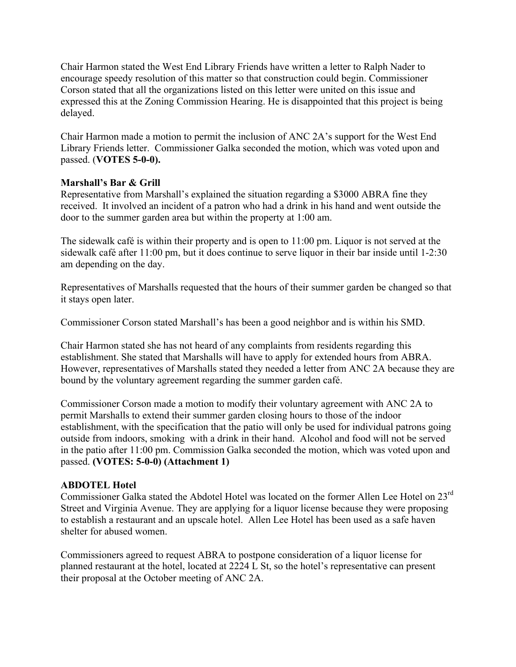Chair Harmon stated the West End Library Friends have written a letter to Ralph Nader to encourage speedy resolution of this matter so that construction could begin. Commissioner Corson stated that all the organizations listed on this letter were united on this issue and expressed this at the Zoning Commission Hearing. He is disappointed that this project is being delayed.

Chair Harmon made a motion to permit the inclusion of ANC 2A's support for the West End Library Friends letter. Commissioner Galka seconded the motion, which was voted upon and passed. (**VOTES 5-0-0).** 

## **Marshall's Bar & Grill**

Representative from Marshall's explained the situation regarding a \$3000 ABRA fine they received. It involved an incident of a patron who had a drink in his hand and went outside the door to the summer garden area but within the property at 1:00 am.

The sidewalk café is within their property and is open to 11:00 pm. Liquor is not served at the sidewalk café after 11:00 pm, but it does continue to serve liquor in their bar inside until 1-2:30 am depending on the day.

Representatives of Marshalls requested that the hours of their summer garden be changed so that it stays open later.

Commissioner Corson stated Marshall's has been a good neighbor and is within his SMD.

Chair Harmon stated she has not heard of any complaints from residents regarding this establishment. She stated that Marshalls will have to apply for extended hours from ABRA. However, representatives of Marshalls stated they needed a letter from ANC 2A because they are bound by the voluntary agreement regarding the summer garden café.

Commissioner Corson made a motion to modify their voluntary agreement with ANC 2A to permit Marshalls to extend their summer garden closing hours to those of the indoor establishment, with the specification that the patio will only be used for individual patrons going outside from indoors, smoking with a drink in their hand. Alcohol and food will not be served in the patio after 11:00 pm. Commission Galka seconded the motion, which was voted upon and passed. **(VOTES: 5-0-0) (Attachment 1)**

# **ABDOTEL Hotel**

Commissioner Galka stated the Abdotel Hotel was located on the former Allen Lee Hotel on 23<sup>rd</sup> Street and Virginia Avenue. They are applying for a liquor license because they were proposing to establish a restaurant and an upscale hotel. Allen Lee Hotel has been used as a safe haven shelter for abused women.

Commissioners agreed to request ABRA to postpone consideration of a liquor license for planned restaurant at the hotel, located at 2224 L St, so the hotel's representative can present their proposal at the October meeting of ANC 2A.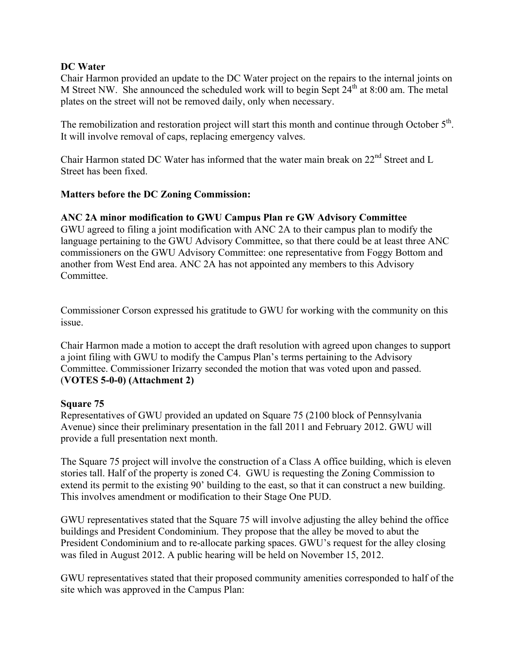### **DC Water**

Chair Harmon provided an update to the DC Water project on the repairs to the internal joints on M Street NW. She announced the scheduled work will to begin Sept  $24<sup>th</sup>$  at 8:00 am. The metal plates on the street will not be removed daily, only when necessary.

The remobilization and restoration project will start this month and continue through October 5<sup>th</sup>. It will involve removal of caps, replacing emergency valves.

Chair Harmon stated DC Water has informed that the water main break on  $22<sup>nd</sup>$  Street and L Street has been fixed.

### **Matters before the DC Zoning Commission:**

### **ANC 2A minor modification to GWU Campus Plan re GW Advisory Committee**

GWU agreed to filing a joint modification with ANC 2A to their campus plan to modify the language pertaining to the GWU Advisory Committee, so that there could be at least three ANC commissioners on the GWU Advisory Committee: one representative from Foggy Bottom and another from West End area. ANC 2A has not appointed any members to this Advisory **Committee** 

Commissioner Corson expressed his gratitude to GWU for working with the community on this issue.

Chair Harmon made a motion to accept the draft resolution with agreed upon changes to support a joint filing with GWU to modify the Campus Plan's terms pertaining to the Advisory Committee. Commissioner Irizarry seconded the motion that was voted upon and passed. (**VOTES 5-0-0) (Attachment 2)**

#### **Square 75**

Representatives of GWU provided an updated on Square 75 (2100 block of Pennsylvania Avenue) since their preliminary presentation in the fall 2011 and February 2012. GWU will provide a full presentation next month.

The Square 75 project will involve the construction of a Class A office building, which is eleven stories tall. Half of the property is zoned C4. GWU is requesting the Zoning Commission to extend its permit to the existing 90' building to the east, so that it can construct a new building. This involves amendment or modification to their Stage One PUD.

GWU representatives stated that the Square 75 will involve adjusting the alley behind the office buildings and President Condominium. They propose that the alley be moved to abut the President Condominium and to re-allocate parking spaces. GWU's request for the alley closing was filed in August 2012. A public hearing will be held on November 15, 2012.

GWU representatives stated that their proposed community amenities corresponded to half of the site which was approved in the Campus Plan: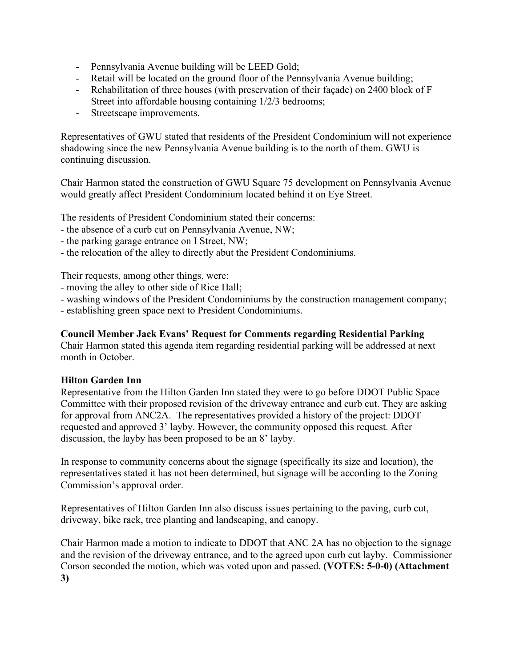- Pennsylvania Avenue building will be LEED Gold;
- Retail will be located on the ground floor of the Pennsylvania Avenue building;
- Rehabilitation of three houses (with preservation of their façade) on 2400 block of F Street into affordable housing containing 1/2/3 bedrooms;
- Streetscape improvements.

Representatives of GWU stated that residents of the President Condominium will not experience shadowing since the new Pennsylvania Avenue building is to the north of them. GWU is continuing discussion.

Chair Harmon stated the construction of GWU Square 75 development on Pennsylvania Avenue would greatly affect President Condominium located behind it on Eye Street.

The residents of President Condominium stated their concerns:

- the absence of a curb cut on Pennsylvania Avenue, NW;
- the parking garage entrance on I Street, NW;
- the relocation of the alley to directly abut the President Condominiums.

Their requests, among other things, were:

- moving the alley to other side of Rice Hall;
- washing windows of the President Condominiums by the construction management company;
- establishing green space next to President Condominiums.

#### **Council Member Jack Evans' Request for Comments regarding Residential Parking**

Chair Harmon stated this agenda item regarding residential parking will be addressed at next month in October.

#### **Hilton Garden Inn**

Representative from the Hilton Garden Inn stated they were to go before DDOT Public Space Committee with their proposed revision of the driveway entrance and curb cut. They are asking for approval from ANC2A. The representatives provided a history of the project: DDOT requested and approved 3' layby. However, the community opposed this request. After discussion, the layby has been proposed to be an 8' layby.

In response to community concerns about the signage (specifically its size and location), the representatives stated it has not been determined, but signage will be according to the Zoning Commission's approval order.

Representatives of Hilton Garden Inn also discuss issues pertaining to the paving, curb cut, driveway, bike rack, tree planting and landscaping, and canopy.

Chair Harmon made a motion to indicate to DDOT that ANC 2A has no objection to the signage and the revision of the driveway entrance, and to the agreed upon curb cut layby. Commissioner Corson seconded the motion, which was voted upon and passed. **(VOTES: 5-0-0) (Attachment 3)**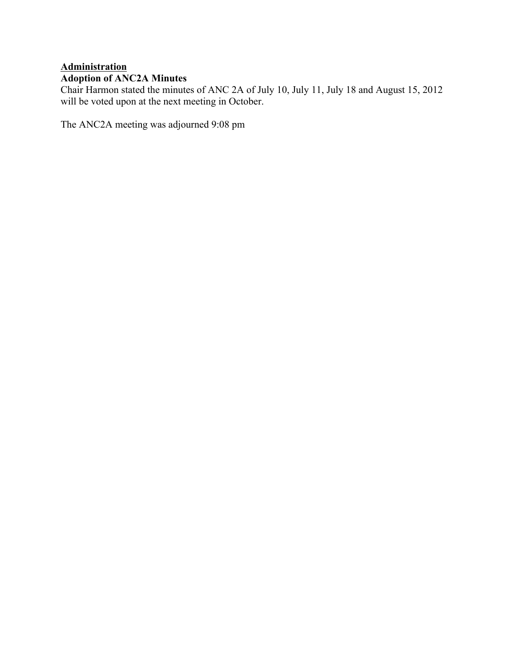# **Administration Adoption of ANC2A Minutes**

Chair Harmon stated the minutes of ANC 2A of July 10, July 11, July 18 and August 15, 2012 will be voted upon at the next meeting in October.

The ANC2A meeting was adjourned 9:08 pm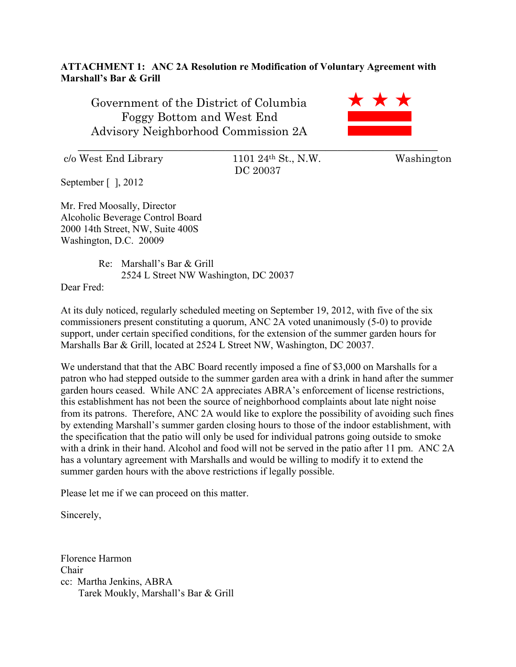## **ATTACHMENT 1: ANC 2A Resolution re Modification of Voluntary Agreement with Marshall's Bar & Grill**

Government of the District of Columbia Foggy Bottom and West End Advisory Neighborhood Commission 2A

 $c/\text{o West End Library}$  1101 24<sup>th</sup> St., N.W. Washington

DC 20037

\_\_\_\_\_\_\_\_\_\_\_\_\_\_\_\_\_\_\_\_\_\_\_\_\_\_\_\_\_\_\_\_\_\_\_\_\_\_\_\_\_\_\_\_\_\_\_\_\_\_\_\_\_\_\_\_\_\_\_\_\_

September [ ], 2012

Mr. Fred Moosally, Director Alcoholic Beverage Control Board 2000 14th Street, NW, Suite 400S Washington, D.C. 20009

> Re: Marshall's Bar & Grill 2524 L Street NW Washington, DC 20037

Dear Fred:

At its duly noticed, regularly scheduled meeting on September 19, 2012, with five of the six commissioners present constituting a quorum, ANC 2A voted unanimously (5-0) to provide support, under certain specified conditions, for the extension of the summer garden hours for Marshalls Bar & Grill, located at 2524 L Street NW, Washington, DC 20037.

We understand that that the ABC Board recently imposed a fine of \$3,000 on Marshalls for a patron who had stepped outside to the summer garden area with a drink in hand after the summer garden hours ceased. While ANC 2A appreciates ABRA's enforcement of license restrictions, this establishment has not been the source of neighborhood complaints about late night noise from its patrons. Therefore, ANC 2A would like to explore the possibility of avoiding such fines by extending Marshall's summer garden closing hours to those of the indoor establishment, with the specification that the patio will only be used for individual patrons going outside to smoke with a drink in their hand. Alcohol and food will not be served in the patio after 11 pm. ANC 2A has a voluntary agreement with Marshalls and would be willing to modify it to extend the summer garden hours with the above restrictions if legally possible.

Please let me if we can proceed on this matter.

Sincerely,

Florence Harmon Chair cc: Martha Jenkins, ABRA Tarek Moukly, Marshall's Bar & Grill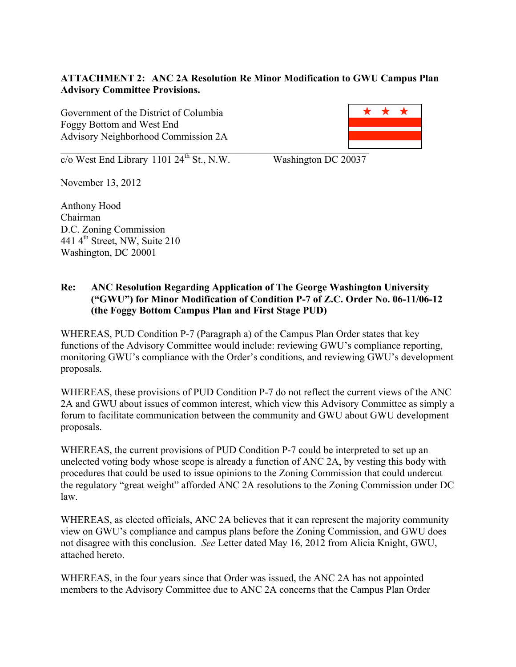# **ATTACHMENT 2: ANC 2A Resolution Re Minor Modification to GWU Campus Plan Advisory Committee Provisions.**

Government of the District of Columbia Foggy Bottom and West End Advisory Neighborhood Commission 2A



 $\overline{c}/\overline{o}$  West End Library 1101 24<sup>th</sup> St., N.W. Washington DC 20037

November 13, 2012

Anthony Hood Chairman D.C. Zoning Commission 441 4th Street, NW, Suite 210 Washington, DC 20001

### **Re: ANC Resolution Regarding Application of The George Washington University ("GWU") for Minor Modification of Condition P-7 of Z.C. Order No. 06-11/06-12 (the Foggy Bottom Campus Plan and First Stage PUD)**

WHEREAS, PUD Condition P-7 (Paragraph a) of the Campus Plan Order states that key functions of the Advisory Committee would include: reviewing GWU's compliance reporting, monitoring GWU's compliance with the Order's conditions, and reviewing GWU's development proposals.

WHEREAS, these provisions of PUD Condition P-7 do not reflect the current views of the ANC 2A and GWU about issues of common interest, which view this Advisory Committee as simply a forum to facilitate communication between the community and GWU about GWU development proposals.

WHEREAS, the current provisions of PUD Condition P-7 could be interpreted to set up an unelected voting body whose scope is already a function of ANC 2A, by vesting this body with procedures that could be used to issue opinions to the Zoning Commission that could undercut the regulatory "great weight" afforded ANC 2A resolutions to the Zoning Commission under DC law.

WHEREAS, as elected officials, ANC 2A believes that it can represent the majority community view on GWU's compliance and campus plans before the Zoning Commission, and GWU does not disagree with this conclusion. *See* Letter dated May 16, 2012 from Alicia Knight, GWU, attached hereto.

WHEREAS, in the four years since that Order was issued, the ANC 2A has not appointed members to the Advisory Committee due to ANC 2A concerns that the Campus Plan Order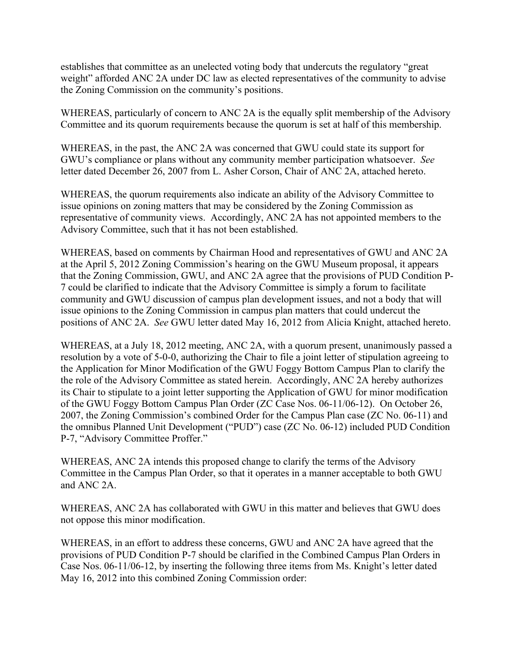establishes that committee as an unelected voting body that undercuts the regulatory "great weight" afforded ANC 2A under DC law as elected representatives of the community to advise the Zoning Commission on the community's positions.

WHEREAS, particularly of concern to ANC 2A is the equally split membership of the Advisory Committee and its quorum requirements because the quorum is set at half of this membership.

WHEREAS, in the past, the ANC 2A was concerned that GWU could state its support for GWU's compliance or plans without any community member participation whatsoever. *See* letter dated December 26, 2007 from L. Asher Corson, Chair of ANC 2A, attached hereto.

WHEREAS, the quorum requirements also indicate an ability of the Advisory Committee to issue opinions on zoning matters that may be considered by the Zoning Commission as representative of community views. Accordingly, ANC 2A has not appointed members to the Advisory Committee, such that it has not been established.

WHEREAS, based on comments by Chairman Hood and representatives of GWU and ANC 2A at the April 5, 2012 Zoning Commission's hearing on the GWU Museum proposal, it appears that the Zoning Commission, GWU, and ANC 2A agree that the provisions of PUD Condition P-7 could be clarified to indicate that the Advisory Committee is simply a forum to facilitate community and GWU discussion of campus plan development issues, and not a body that will issue opinions to the Zoning Commission in campus plan matters that could undercut the positions of ANC 2A. *See* GWU letter dated May 16, 2012 from Alicia Knight, attached hereto.

WHEREAS, at a July 18, 2012 meeting, ANC 2A, with a quorum present, unanimously passed a resolution by a vote of 5-0-0, authorizing the Chair to file a joint letter of stipulation agreeing to the Application for Minor Modification of the GWU Foggy Bottom Campus Plan to clarify the the role of the Advisory Committee as stated herein. Accordingly, ANC 2A hereby authorizes its Chair to stipulate to a joint letter supporting the Application of GWU for minor modification of the GWU Foggy Bottom Campus Plan Order (ZC Case Nos. 06-11/06-12). On October 26, 2007, the Zoning Commission's combined Order for the Campus Plan case (ZC No. 06-11) and the omnibus Planned Unit Development ("PUD") case (ZC No. 06-12) included PUD Condition P-7, "Advisory Committee Proffer."

WHEREAS, ANC 2A intends this proposed change to clarify the terms of the Advisory Committee in the Campus Plan Order, so that it operates in a manner acceptable to both GWU and ANC 2A.

WHEREAS, ANC 2A has collaborated with GWU in this matter and believes that GWU does not oppose this minor modification.

WHEREAS, in an effort to address these concerns, GWU and ANC 2A have agreed that the provisions of PUD Condition P-7 should be clarified in the Combined Campus Plan Orders in Case Nos. 06-11/06-12, by inserting the following three items from Ms. Knight's letter dated May 16, 2012 into this combined Zoning Commission order: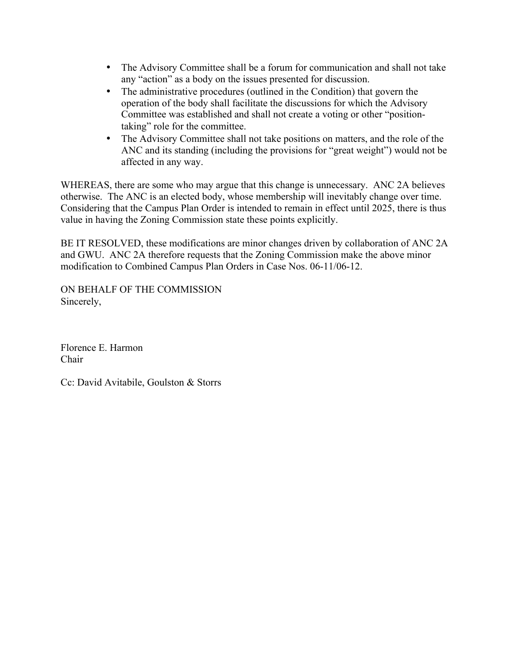- The Advisory Committee shall be a forum for communication and shall not take any "action" as a body on the issues presented for discussion.
- The administrative procedures (outlined in the Condition) that govern the operation of the body shall facilitate the discussions for which the Advisory Committee was established and shall not create a voting or other "positiontaking" role for the committee.
- The Advisory Committee shall not take positions on matters, and the role of the ANC and its standing (including the provisions for "great weight") would not be affected in any way.

WHEREAS, there are some who may argue that this change is unnecessary. ANC 2A believes otherwise. The ANC is an elected body, whose membership will inevitably change over time. Considering that the Campus Plan Order is intended to remain in effect until 2025, there is thus value in having the Zoning Commission state these points explicitly.

BE IT RESOLVED, these modifications are minor changes driven by collaboration of ANC 2A and GWU. ANC 2A therefore requests that the Zoning Commission make the above minor modification to Combined Campus Plan Orders in Case Nos. 06-11/06-12.

ON BEHALF OF THE COMMISSION Sincerely,

Florence E. Harmon Chair

Cc: David Avitabile, Goulston & Storrs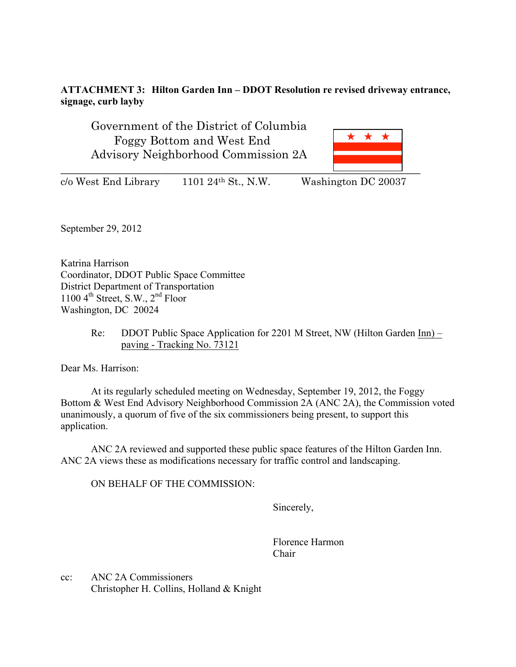## **ATTACHMENT 3: Hilton Garden Inn – DDOT Resolution re revised driveway entrance, signage, curb layby**

Government of the District of Columbia Foggy Bottom and West End Advisory Neighborhood Commission 2A



 $c/\sigma$  West End Library 1101 24<sup>th</sup> St., N.W. Washington DC 20037

September 29, 2012

Katrina Harrison Coordinator, DDOT Public Space Committee District Department of Transportation 1100  $4^{\text{th}}$  Street, S.W.,  $2^{\text{nd}}$  Floor Washington, DC 20024

> Re: DDOT Public Space Application for 2201 M Street, NW (Hilton Garden Inn) – paving - Tracking No. 73121

Dear Ms. Harrison:

At its regularly scheduled meeting on Wednesday, September 19, 2012, the Foggy Bottom & West End Advisory Neighborhood Commission 2A (ANC 2A), the Commission voted unanimously, a quorum of five of the six commissioners being present, to support this application.

ANC 2A reviewed and supported these public space features of the Hilton Garden Inn. ANC 2A views these as modifications necessary for traffic control and landscaping.

ON BEHALF OF THE COMMISSION:

Sincerely,

Florence Harmon Chair

cc: ANC 2A Commissioners Christopher H. Collins, Holland & Knight